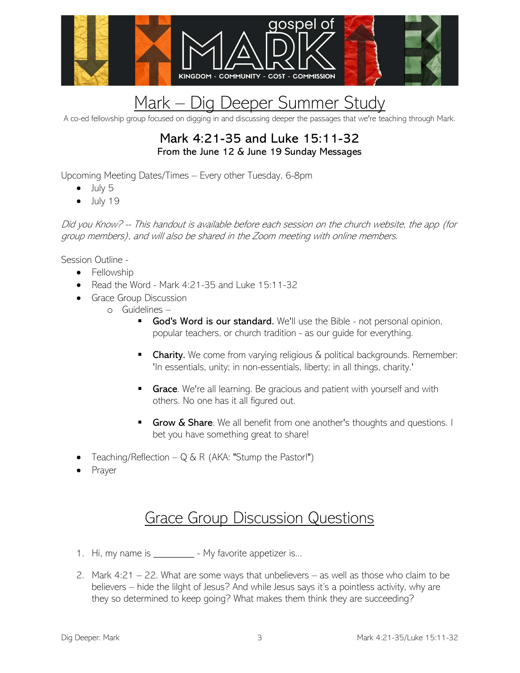

## Mark - Dig Deeper Summer Study

A co-ed fellowship group focused on digging in and discussing deeper the passages that we're teaching through Mark.

## Mark 4:21-35 and Luke 15:11-32 From the June 12 & June 19 Sunday Messages

Upcoming Meeting Dates/Times – Every other Tuesday, 6-8pm

- $\bullet$  July 5
- $\bullet$  July 19

Did you Know? -- This handout is available before each session on the church website, the app (for group members), and will also be shared in the Zoom meeting with online members.

Session Outline -

- Fellowship
- Read the Word Mark 4:21-35 and Luke 15:11-32
- **•** Grace Group Discussion
	- o Guidelines
		- God's Word is our standard. We'll use the Bible not personal opinion, popular teachers, or church tradition - as our guide for everything.
		- **Charity.** We come from varying religious  $\&$  political backgrounds. Remember: 'In essentials, unity; in non-essentials, liberty; in all things, charity.'
		- **Grace.** We're all learning. Be gracious and patient with yourself and with others. No one has it all figured out.
		- Grow & Share. We all benefit from one another's thoughts and questions. I bet you have something great to share!
- Teaching/Reflection  $-Q & R$  (AKA: "Stump the Pastor!")
- Prayer

## Grace Group Discussion Questions

- 1. Hi, my name is \_\_\_\_\_\_\_\_\_\_ My favorite appetizer is...
- 2. Mark 4:21 22. What are some ways that unbelievers as well as those who claim to be believers – hide the lilght of Jesus? And while Jesus says it's a pointless activity, why are they so determined to keep going? What makes them think they are succeeding?